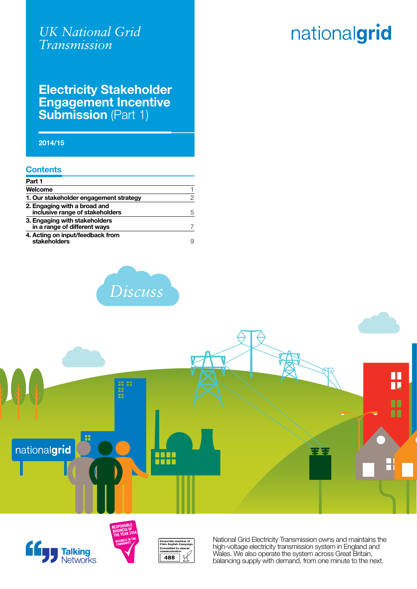# nationalgrid

### **Electricity Stakeholder Engagement Incentive Submission** (Part 1)

**2014/15**

#### **Contents**

| Part 1                                                          |   |
|-----------------------------------------------------------------|---|
| Welcome                                                         |   |
| 1. Our stakeholder engagement strategy                          | 2 |
| 2. Engaging with a broad and<br>inclusive range of stakeholders | 5 |
| 3. Engaging with stakeholders<br>in a range of different ways   | 7 |
| 4. Acting on input/feedback from<br>stakeholders                | 9 |











National Grid Electricity Transmission owns and maintains the high-voltage electricity transmission system in England and Wales. We also operate the system across Great Britain, balancing supply with demand, from one minute to the next.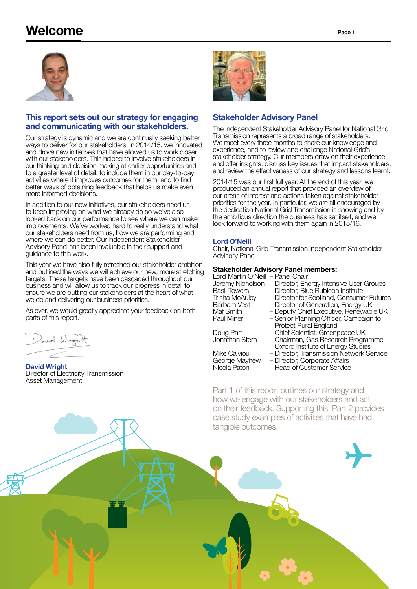## Welcome



#### This report sets out our strategy for engaging and communicating with our stakeholders.

Our strategy is dynamic and we are continually seeking better ways to deliver for our stakeholders. In 2014/15, we innovated and drove new initiatives that have allowed us to work closer with our stakeholders. This helped to involve stakeholders in our thinking and decision making at earlier opportunities and to a greater level of detail, to include them in our day-to-day activities where it improves outcomes for them, and to find better ways of obtaining feedback that helps us make even more informed decisions.

In addition to our new initiatives, our stakeholders need us to keep improving on what we already do so we've also looked back on our performance to see where we can make improvements. We've worked hard to really understand what our stakeholders need from us, how we are performing and where we can do better. Our independent Stakeholder Advisory Panel has been invaluable in their support and guidance to this work.

This year we have also fully refreshed our stakeholder ambition and outlined the ways we will achieve our new, more stretching targets. These targets have been cascaded throughout our business and will allow us to track our progress in detail to ensure we are putting our stakeholders at the heart of what we do and delivering our business priorities.

As ever, we would greatly appreciate your feedback on both parts of this report.

좋을

ind Wrig

David Wright Director of Electricity Transmission Asset Management



#### Stakeholder Advisory Panel

The independent Stakeholder Advisory Panel for National Grid Transmission represents a broad range of stakeholders. We meet every three months to share our knowledge and experience, and to review and challenge National Grid's stakeholder strategy. Our members draw on their experience and offer insights, discuss key issues that impact stakeholders, and review the effectiveness of our strategy and lessons learnt.

2014/15 was our first full year. At the end of this year, we produced an annual report that provided an overview of our areas of interest and actions taken against stakeholder priorities for the year. In particular, we are all encouraged by the dedication National Grid Transmission is showing and by the ambitious direction the business has set itself, and we look forward to working with them again in 2015/16.

#### Lord O'Neill

Chair, National Grid Transmission Independent Stakeholder Advisory Panel

#### Stakeholder Advisory Panel members:

| Lord Martin O'Neill - Panel Chair |                                           |
|-----------------------------------|-------------------------------------------|
| Jeremy Nicholson                  | - Director, Energy Intensive User Groups  |
| <b>Basil Towers</b>               | - Director, Blue Rubicon Institute        |
| <b>Trisha McAuley</b>             | - Director for Scotland, Consumer Futures |
| Barbara Vest                      | - Director of Generation, Energy UK       |
| Maf Smith                         | - Deputy Chief Executive, Renewable UK    |
| Paul Miner                        | - Senior Planning Officer, Campaign to    |
|                                   | <b>Protect Rural England</b>              |
| Doug Parr                         | - Chief Scientist, Greenpeace UK          |
| Jonathan Stern                    | - Chairman, Gas Research Programme,       |
|                                   | Oxford Institute of Energy Studies        |
| Mike Calviou                      | - Director, Transmission Network Service  |
| George Mayhew                     | - Director, Corporate Affairs             |
| Nicola Paton                      | - Head of Customer Service                |

Part 1 of this report outlines our strategy and how we engage with our stakeholders and act on their feedback. Supporting this, Part 2 provides case study examples of activities that have had tangible outcomes.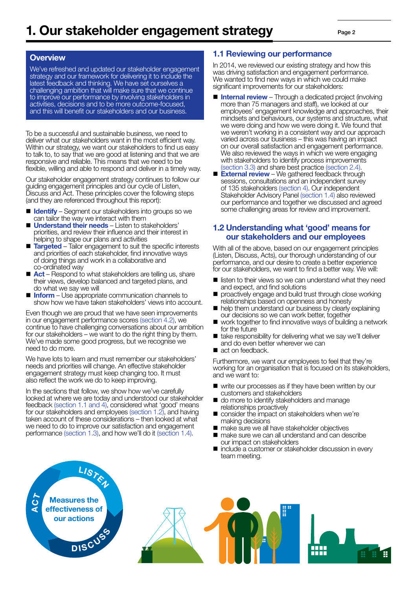#### **Overview**

We've refreshed and updated our stakeholder engagement strategy and our framework for delivering it to include the latest feedback and thinking. We have set ourselves a challenging ambition that will make sure that we continue to improve our performance by involving stakeholders in activities, decisions and to be more outcome-focused. and this will benefit our stakeholders and our business.

To be a successful and sustainable business, we need to deliver what our stakeholders want in the most efficient way. Within our strategy, we want our stakeholders to find us easy to talk to, to say that we are good at listening and that we are responsive and reliable. This means that we need to be flexible, willing and able to respond and deliver in a timely way.

Our stakeholder engagement strategy continues to follow our guiding engagement principles and our cycle of Listen, Discuss and Act. These principles cover the following steps (and they are referenced throughout this report):

- $\blacksquare$  Identify Segment our stakeholders into groups so we can tailor the way we interact with them
- **Understand their needs** Listen to stakeholders' priorities, and review their influence and their interest in helping to shape our plans and activities
- Targeted Tailor engagement to suit the specific interests and priorities of each stakeholder, find innovative ways of doing things and work in a collaborative and co-ordinated way
- $\blacksquare$  Act Respond to what stakeholders are telling us, share their views, develop balanced and targeted plans, and do what we say we will
- $\blacksquare$  Inform Use appropriate communication channels to show how we have taken stakeholders' views into account.

Even though we are proud that we have seen improvements in our engagement performance scores (section 4.2), we continue to have challenging conversations about our ambition for our stakeholders – we want to do the right thing by them. We've made some good progress, but we recognise we need to do more.

We have lots to learn and must remember our stakeholders' needs and priorities will change. An effective stakeholder engagement strategy must keep changing too. It must also reflect the work we do to keep improving.

In the sections that follow, we show how we've carefully looked at where we are today and understood our stakeholder feedback (section 1.1 and 4), considered what 'good' means for our stakeholders and employees (section 1.2), and having taken account of these considerations – then looked at what we need to do to improve our satisfaction and engagement performance (section 1.3), and how we'll do it (section 1.4).

#### 1.1 Reviewing our performance

In 2014, we reviewed our existing strategy and how this was driving satisfaction and engagement performance. We wanted to find new ways in which we could make significant improvements for our stakeholders:

- **n Internal review** Through a dedicated project (involving more than 75 managers and staff), we looked at our employees' engagement knowledge and approaches, their mindsets and behaviours, our systems and structure, what we were doing and how we were doing it. We found that we weren't working in a consistent way and our approach varied across our business – this was having an impact on our overall satisfaction and engagement performance. We also reviewed the ways in which we were engaging with stakeholders to identify process improvements (section 3.3) and share best practice (section 2.4).
- $\blacksquare$  External review We gathered feedback through sessions, consultations and an independent survey of 135 stakeholders (section 4). Our independent Stakeholder Advisory Panel (section 1.4) also reviewed our performance and together we discussed and agreed some challenging areas for review and improvement.

#### 1.2 Understanding what 'good' means for our stakeholders and our employees

With all of the above, based on our engagement principles (Listen, Discuss, Acts), our thorough understanding of our performance, and our desire to create a better experience for our stakeholders, we want to find a better way. We will:

- $\blacksquare$  listen to their views so we can understand what they need and expect, and find solutions
- proactively engage and build trust through close working relationships based on openness and honesty
- $\blacksquare$  help them understand our business by clearly explaining our decisions so we can work better, together
- work together to find innovative ways of building a network for the future
- $\blacksquare$  take responsibility for delivering what we say we'll deliver and do even better wherever we can
- $\blacksquare$  act on feedback.

Furthermore, we want our employees to feel that they're working for an organisation that is focused on its stakeholders, and we want to:

- $\blacksquare$  write our processes as if they have been written by our customers and stakeholders
- do more to identify stakeholders and manage relationships proactively
- $\blacksquare$  consider the impact on stakeholders when we're making decisions
- n make sure we all have stakeholder objectives
- $\blacksquare$  make sure we can all understand and can describe our impact on stakeholders
- $\blacksquare$  include a customer or stakeholder discussion in every team meeting.



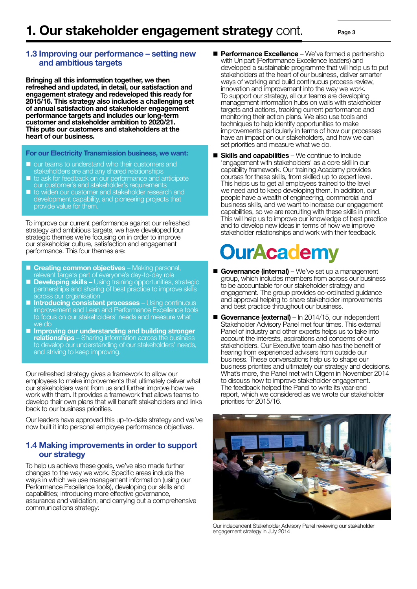#### 1.3 Improving our performance – setting new and ambitious targets

Bringing all this information together, we then refreshed and updated, in detail, our satisfaction and engagement strategy and redeveloped this ready for 2015/16. This strategy also includes a challenging set of annual satisfaction and stakeholder engagement performance targets and includes our long-term customer and stakeholder ambition to 2020/21. This puts our customers and stakeholders at the heart of our business.

For our Electricity Transmission business, we want:

- <sup>n</sup> our teams to understand who their customers and stakeholders are and any shared relationships
- $\blacksquare$  to ask for feedback on our performance and anticipate our customer's and stakeholder's requirements
- <sup>n</sup> to widen our customer and stakeholder research and development capability, and pioneering projects that provide value for them.

To improve our current performance against our refreshed strategy and ambitious targets, we have developed four strategic themes we're focusing on in order to improve our stakeholder culture, satisfaction and engagement performance. This four themes are:

- **n Creating common objectives** Making personal, relevant targets part of everyone's day-to-day role
- **Developing skills –** Using training opportunities, strategic partnerships and sharing of best practice to improve skills across our organisation
- **n Introducing consistent processes** Using continuous improvement and Lean and Performance Excellence tools to focus on our stakeholders' needs and measure what we do
- **n** Improving our understanding and building stronger relationships – Sharing information across the business to develop our understanding of our stakeholders' needs, and striving to keep improving.

Our refreshed strategy gives a framework to allow our employees to make improvements that ultimately deliver what our stakeholders want from us and further improve how we work with them. It provides a framework that allows teams to develop their own plans that will benefit stakeholders and links back to our business priorities.

Our leaders have approved this up-to-date strategy and we've now built it into personal employee performance objectives.

#### 1.4 Making improvements in order to support our strategy

To help us achieve these goals, we've also made further changes to the way we work. Specific areas include the ways in which we use management information (using our Performance Excellence tools), developing our skills and capabilities; introducing more effective governance, assurance and validation; and carrying out a comprehensive communications strategy:

**Performance Excellence** – We've formed a partnership with Unipart (Performance Excellence leaders) and developed a sustainable programme that will help us to put stakeholders at the heart of our business, deliver smarter ways of working and build continuous process review, innovation and improvement into the way we work. To support our strategy, all our teams are developing management information hubs on walls with stakeholder targets and actions, tracking current performance and monitoring their action plans. We also use tools and techniques to help identify opportunities to make improvements particularly in terms of how our processes have an impact on our stakeholders, and how we can set priorities and measure what we do.

 $\blacksquare$  Skills and capabilities – We continue to include 'engagement with stakeholders' as a core skill in our capability framework. Our training Academy provides courses for these skills, from skilled up to expert level. This helps us to get all employees trained to the level we need and to keep developing them. In addition, our people have a wealth of engineering, commercial and business skills, and we want to increase our engagement capabilities, so we are recruiting with these skills in mind. This will help us to improve our knowledge of best practice and to develop new ideas in terms of how we improve stakeholder relationships and work with their feedback.

## **OurAcademy**

- Governance (internal) We've set up a management group, which includes members from across our business to be accountable for our stakeholder strategy and engagement. The group provides co-ordinated guidance and approval helping to share stakeholder improvements and best practice throughout our business.
- Governance (external)  $\ln 2014/15$ , our independent Stakeholder Advisory Panel met four times. This external Panel of industry and other experts helps us to take into account the interests, aspirations and concerns of our stakeholders. Our Executive team also has the benefit of hearing from experienced advisers from outside our business. These conversations help us to shape our business priorities and ultimately our strategy and decisions. What's more, the Panel met with Ofgem in November 2014 to discuss how to improve stakeholder engagement. The feedback helped the Panel to write its year-end report, which we considered as we wrote our stakeholder priorities for 2015/16.



Our independent Stakeholder Advisory Panel reviewing our stakeholder engagement strategy in July 2014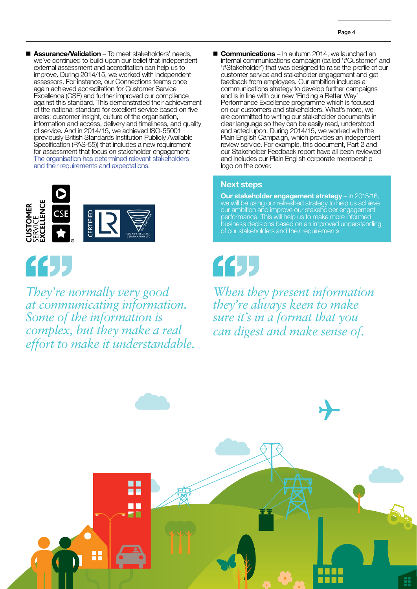**n** Assurance/Validation – To meet stakeholders' needs, we've continued to build upon our belief that independent external assessment and accreditation can help us to improve. During 2014/15, we worked with independent assessors. For instance, our Connections teams once again achieved accreditation for Customer Service Excellence (CSE) and further improved our compliance against this standard. This demonstrated their achievement of the national standard for excellent service based on five areas: customer insight, culture of the organisation, information and access, delivery and timeliness, and quality of service. And in 2014/15, we achieved ISO-55001 (previously British Standards Institution Publicly Available Specification (PAS-55)) that includes a new requirement for assessment that focus on stakeholder engagement: The organisation has determined relevant stakeholders and their requirements and expectations.





*They're normally very good at communicating information. Some of the information is complex, but they make a real effort to make it understandable.* **E** Communications – In autumn 2014, we launched an internal communications campaign (called '#Customer' and '#Stakeholder') that was designed to raise the profile of our customer service and stakeholder engagement and get feedback from employees. Our ambition includes a communications strategy to develop further campaigns and is in line with our new 'Finding a Better Way Performance Excellence programme which is focused on our customers and stakeholders. What's more, we are committed to writing our stakeholder documents in clear language so they can be easily read, understood and acted upon. During 2014/15, we worked with the Plain English Campaign, which provides an independent review service. For example, this document, Part 2 and our Stakeholder Feedback report have all been reviewed and includes our Plain English corporate membership logo on the cover.

#### Next steps

Our stakeholder engagement strategy - in 2015/16, we will be using our refreshed strategy to help us achieve our ambition and improve our stakeholder engagement performance. This will help us to make more informed business decisions based on an improved understanding of our stakeholders and their requirements.

# 44

*When they present information they're always keen to make sure it's in a format that you can digest and make sense of.*

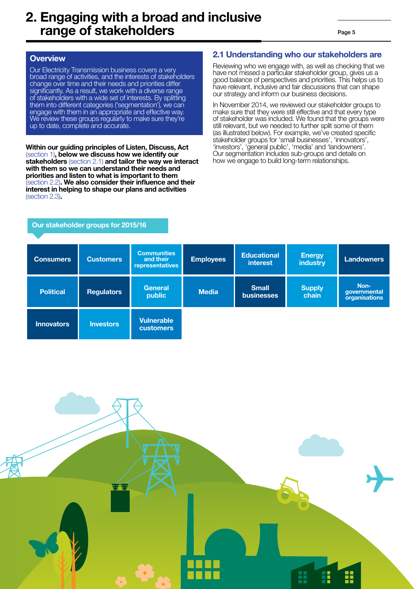## 2. Engaging with a broad and inclusive range of stakeholders

#### **Overview**

Our Electricity Transmission business covers a very broad range of activities, and the interests of stakeholders change over time and their needs and priorities differ significantly. As a result, we work with a diverse range of stakeholders with a wide set of interests. By splitting them into different categories ('segmentation'), we can engage with them in an appropriate and effective way. We review these groups regularly to make sure they're up to date, complete and accurate.

Within our guiding principles of Listen, Discuss, Act (section 1), below we discuss how we identify our stakeholders (section 2.1) and tailor the way we interact with them so we can understand their needs and priorities and listen to what is important to them (section 2.2). We also consider their influence and their interest in helping to shape our plans and activities (section 2.3).

Our stakeholder groups for 2015/16

#### 2.1 Understanding who our stakeholders are

Reviewing who we engage with, as well as checking that we have not missed a particular stakeholder group, gives us a good balance of perspectives and priorities. This helps us to have relevant, inclusive and fair discussions that can shape our strategy and inform our business decisions.

In November 2014, we reviewed our stakeholder groups to make sure that they were still effective and that every type of stakeholder was included. We found that the groups were still relevant, but we needed to further split some of them (as illustrated below). For example, we've created specific stakeholder groups for 'small businesses', 'innovators', 'investors', 'general public', 'media' and 'landowners'. Our segmentation includes sub-groups and details on how we engage to build long-term relationships.

| <b>Consumers</b>  | <b>Customers</b>  | <b>Communities</b><br>and their<br>representatives | <b>Employees</b> | <b>Educational</b><br><i>interest</i> | <b>Energy</b><br><b>industry</b> | Landowners                            |
|-------------------|-------------------|----------------------------------------------------|------------------|---------------------------------------|----------------------------------|---------------------------------------|
| <b>Political</b>  | <b>Regulators</b> | <b>General</b><br>public                           | <b>Media</b>     | <b>Small</b><br><b>businesses</b>     | <b>Supply</b><br>chain           | Non-<br>governmental<br>organisations |
| <b>Innovators</b> | <b>Investors</b>  | <b>Vulnerable</b><br><b>customers</b>              |                  |                                       |                                  |                                       |

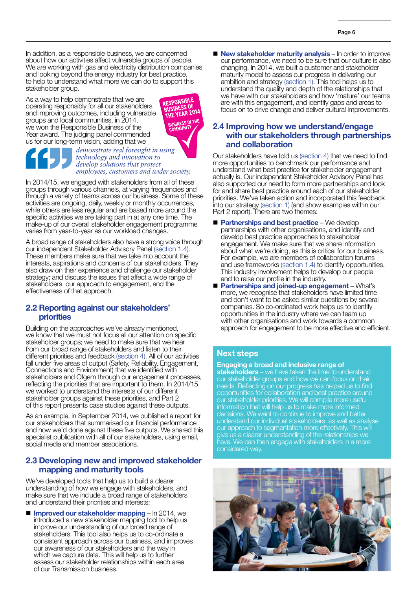In addition, as a responsible business, we are concerned about how our activities affect vulnerable groups of people. We are working with gas and electricity distribution companies and looking beyond the energy industry for best practice, to help to understand what more we can do to support this stakeholder group.

As a way to help demonstrate that we are operating responsibly for all our stakeholders and improving outcomes, including vulnerable groups and local communities, in 2014, we won the Responsible Business of the Year award. The judging panel commended us for our long-term vision, adding that we



#### *demonstrate real foresight in using technology and innovation to develop solutions that protect employees, customers and wider society.*

In 2014/15, we engaged with stakeholders from all of these groups through various channels, at varying frequencies and through a variety of teams across our business. Some of these activities are ongoing, daily, weekly or monthly occurrences, while others are less regular and are based more around the specific activities we are taking part in at any one time. The make-up of our overall stakeholder engagement programme varies from year-to-year as our workload changes.

A broad range of stakeholders also have a strong voice through our independent Stakeholder Advisory Panel (section 1.4). These members make sure that we take into account the interests, aspirations and concerns of our stakeholders. They also draw on their experience and challenge our stakeholder strategy; and discuss the issues that affect a wide range of stakeholders, our approach to engagement, and the effectiveness of that approach.

#### 2.2 Reporting against our stakeholders' priorities

Building on the approaches we've already mentioned, we know that we must not focus all our attention on specific stakeholder groups; we need to make sure that we hear from our broad range of stakeholders and listen to their different priorities and feedback (section 4). All of our activities fall under five areas of output (Safety, Reliability, Engagement, Connections and Environment) that we identified with stakeholders and Ofgem through our engagement processes, reflecting the priorities that are important to them. In 2014/15, we worked to understand the interests of our different stakeholder groups against these priorities, and Part 2 of this report presents case studies against these outputs.

As an example, in September 2014, we published a report for our stakeholders that summarised our financial performance and how we'd done against these five outputs. We shared this specialist publication with all of our stakeholders, using email, social media and member associations.

#### 2.3 Developing new and improved stakeholder mapping and maturity tools

We've developed tools that help us to build a clearer understanding of how we engage with stakeholders, and make sure that we include a broad range of stakeholders and understand their priorities and interests:

**n Improved our stakeholder mapping – In 2014, we** introduced a new stakeholder mapping tool to help us improve our understanding of our broad range of stakeholders. This tool also helps us to co-ordinate a consistent approach across our business, and improves our awareness of our stakeholders and the way in which we capture data. This will help us to further assess our stakeholder relationships within each area of our Transmission business.

 $\blacksquare$  New stakeholder maturity analysis – In order to improve our performance, we need to be sure that our culture is also changing. In 2014, we built a customer and stakeholder maturity model to assess our progress in delivering our ambition and strategy (section 1). This tool helps us to understand the quality and depth of the relationships that we have with our stakeholders and how 'mature' our teams are with this engagement, and identify gaps and areas to focus on to drive change and deliver cultural improvements.

#### 2.4 Improving how we understand/engage with our stakeholders through partnerships and collaboration

Our stakeholders have told us (section 4) that we need to find more opportunities to benchmark our performance and understand what best practice for stakeholder engagement actually is. Our independent Stakeholder Advisory Panel has also supported our need to form more partnerships and look for and share best practice around each of our stakeholder priorities. We've taken action and incorporated this feedback into our strategy (section 1) (and show examples within our Part 2 report). There are two themes:

- $\blacksquare$  Partnerships and best practice We develop partnerships with other organisations, and identify and develop best practice approaches to stakeholder engagement. We make sure that we share information about what we're doing, as this is critical for our business. For example, we are members of collaboration forums and use frameworks (section 1.4) to identify opportunities. This industry involvement helps to develop our people and to raise our profile in the industry.
- Partnerships and joined-up engagement What's more, we recognise that stakeholders have limited time and don't want to be asked similar questions by several companies. So co-ordinated work helps us to identify opportunities in the industry where we can team up with other organisations and work towards a common approach for engagement to be more effective and efficient.

#### Next steps

#### Engaging a broad and inclusive range of

stakeholders – we have taken the time to understand our stakeholder groups and how we can focus on their needs. Reflecting on our progress has helped us to find opportunities for collaboration and best practice around our stakeholder priorities. We will compile more useful information that will help us to make more informed decisions. We want to continue to improve and better understand our individual stakeholders, as well as analyse our approach to segmentation more effectively. This will give us a clearer understanding of the relationships we have. We can then engage with stakeholders in a more considered way.

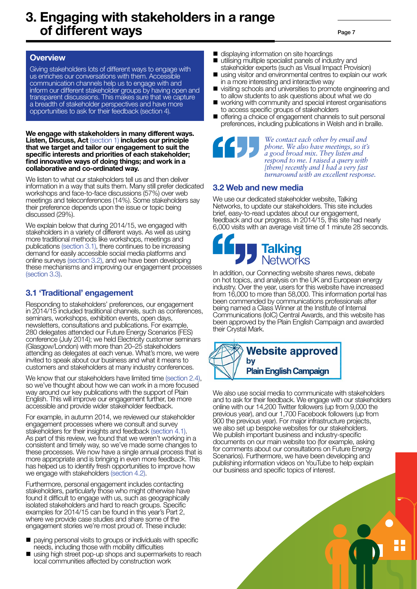## 3. Engaging with stakeholders in a range of different ways

Page 7

#### **Overview**

Giving stakeholders lots of different ways to engage with us enriches our conversations with them. Accessible communication channels help us to engage with and inform our different stakeholder groups by having open and transparent discussions. This makes sure that we capture a breadth of stakeholder perspectives and have more opportunities to ask for their feedback (section 4).

#### We engage with stakeholders in many different ways. Listen, Discuss, Act (section 1) includes our principle that we target and tailor our engagement to suit the specific interests and priorities of each stakeholder; find innovative ways of doing things; and work in a collaborative and co-ordinated way.

We listen to what our stakeholders tell us and then deliver information in a way that suits them. Many still prefer dedicated workshops and face-to-face discussions (57%) over web meetings and teleconferences (14%). Some stakeholders say their preference depends upon the issue or topic being discussed (29%).

We explain below that during 2014/15, we engaged with stakeholders in a variety of different ways. As well as using more traditional methods like workshops, meetings and publications (section 3.1), there continues to be increasing demand for easily accessible social media platforms and online surveys (section 3.2), and we have been developing these mechanisms and improving our engagement processes (section 3.3).

#### 3.1 'Traditional' engagement

Responding to stakeholders' preferences, our engagement in 2014/15 included traditional channels, such as conferences, seminars, workshops, exhibition events, open days, newsletters, consultations and publications. For example, 280 delegates attended our Future Energy Scenarios (FES) conference (July 2014); we held Electricity customer seminars (Glasgow/London) with more than 20–25 stakeholders attending as delegates at each venue. What's more, we were invited to speak about our business and what it means to customers and stakeholders at many industry conferences.

We know that our stakeholders have limited time (section 2.4), so we've thought about how we can work in a more focused way around our key publications with the support of Plain English. This will improve our engagement further, be more accessible and provide wider stakeholder feedback.

For example, in autumn 2014, we reviewed our stakeholder engagement processes where we consult and survey stakeholders for their insights and feedback (section 4.1). As part of this review, we found that we weren't working in a consistent and timely way, so we've made some changes to these processes. We now have a single annual process that is more appropriate and is bringing in even more feedback. This has helped us to identify fresh opportunities to improve how we engage with stakeholders (section 4.2).

Furthermore, personal engagement includes contacting stakeholders, particularly those who might otherwise have found it difficult to engage with us, such as geographically isolated stakeholders and hard to reach groups. Specific examples for 2014/15 can be found in this year's Part 2, where we provide case studies and share some of the engagement stories we're most proud of. These include:

- n paying personal visits to groups or individuals with specific needs, including those with mobility difficulties
- using high street pop-up shops and supermarkets to reach local communities affected by construction work
- displaying information on site hoardings
- $\blacksquare$  utilising multiple specialist panels of industry and stakeholder experts (such as Visual Impact Provision)
- $\blacksquare$  using visitor and environmental centres to explain our work in a more interesting and interactive way
- visiting schools and universities to promote engineering and to allow students to ask questions about what we do
- working with community and special interest organisations to access specific groups of stakeholders
- $\blacksquare$  offering a choice of engagement channels to suit personal preferences, including publications in Welsh and in braille.

*We contact each other by email and phone. We also have meetings, so it's a good broad mix. They listen and respond to me. I raised a query with [them] recently and I had a very fast turnaround with an excellent response.*

#### 3.2 Web and new media

We use our dedicated stakeholder website, Talking Networks, to update our stakeholders. This site includes brief, easy-to-read updates about our engagement, feedback and our progress. In 2014/15, this site had nearly 6,000 visits with an average visit time of 1 minute 28 seconds.



In addition, our Connecting website shares news, debate on hot topics, and analysis on the UK and European energy industry. Over the year, users for this website have increased from 16,000 to more than 58,000. This information portal has been commended by communications professionals after being named a Class Winner at the Institute of Internal Communications (IoIC) Central Awards, and this website has been approved by the Plain English Campaign and awarded their Crystal Mark.



We also use social media to communicate with stakeholders and to ask for their feedback. We engage with our stakeholders online with our 14,200 Twitter followers (up from 9,000 the previous year), and our 1,700 Facebook followers (up from 900 the previous year). For major infrastructure projects, we also set up bespoke websites for our stakeholders. We publish important business and industry-specific documents on our main website too (for example, asking for comments about our consultations on Future Energy Scenarios). Furthermore, we have been developing and publishing information videos on YouTube to help explain our business and specific topics of interest.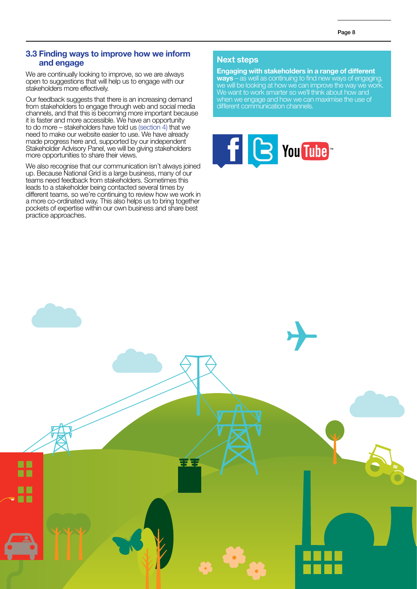#### 3.3 Finding ways to improve how we inform and engage

We are continually looking to improve, so we are always open to suggestions that will help us to engage with our stakeholders more effectively.

Our feedback suggests that there is an increasing demand from stakeholders to engage through web and social media channels, and that this is becoming more important because it is faster and more accessible. We have an opportunity to do more – stakeholders have told us (section 4) that we need to make our website easier to use. We have already made progress here and, supported by our independent Stakeholder Advisory Panel, we will be giving stakeholders more opportunities to share their views.

We also recognise that our communication isn't always joined up. Because National Grid is a large business, many of our teams need feedback from stakeholders. Sometimes this leads to a stakeholder being contacted several times by different teams, so we're continuing to review how we work in a more co-ordinated way. This also helps us to bring together pockets of expertise within our own business and share best practice approaches.

#### Next steps

Engaging with stakeholders in a range of different ways – as well as continuing to find new ways of engaging, we will be looking at how we can improve the way we work. We want to work smarter so we'll think about how and when we engage and how we can maximise the use of different communication channels.



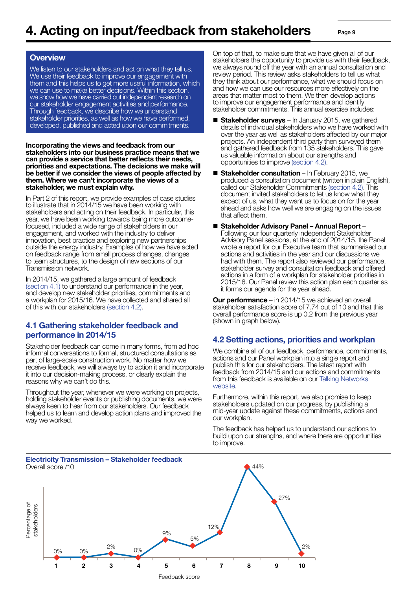Page 9

#### **Overview**

We listen to our stakeholders and act on what they tell us. We use their feedback to improve our engagement with them and this helps us to get more useful information, which we can use to make better decisions. Within this section, we show how we have carried out independent research on our stakeholder engagement activities and performance. Through feedback, we describe how we understand stakeholder priorities, as well as how we have performed, developed, published and acted upon our commitments.

Incorporating the views and feedback from our stakeholders into our business practice means that we can provide a service that better reflects their needs, priorities and expectations. The decisions we make will be better if we consider the views of people affected by them. Where we can't incorporate the views of a stakeholder, we must explain why.

In Part 2 of this report, we provide examples of case studies to illustrate that in 2014/15 we have been working with stakeholders and acting on their feedback. In particular, this year, we have been working towards being more outcomefocused, included a wide range of stakeholders in our engagement, and worked with the industry to deliver innovation, best practice and exploring new partnerships outside the energy industry. Examples of how we have acted on feedback range from small process changes, changes to team structures, to the design of new sections of our Transmission network.

In 2014/15, we gathered a large amount of feedback (section 4.1) to understand our performance in the year, and develop new stakeholder priorities, commitments and a workplan for 2015/16. We have collected and shared all of this with our stakeholders (section 4.2).

#### 4.1 Gathering stakeholder feedback and performance in 2014/15

Stakeholder feedback can come in many forms, from ad hoc informal conversations to formal, structured consultations as part of large-scale construction work. No matter how we receive feedback, we will always try to action it and incorporate it into our decision-making process, or clearly explain the reasons why we can't do this.

Throughout the year, whenever we were working on projects, holding stakeholder events or publishing documents, we were always keen to hear from our stakeholders. Our feedback helped us to learn and develop action plans and improved the way we worked.

On top of that, to make sure that we have given all of our stakeholders the opportunity to provide us with their feedback, we always round off the year with an annual consultation and review period. This review asks stakeholders to tell us what they think about our performance, what we should focus on and how we can use our resources more effectively on the areas that matter most to them. We then develop actions to improve our engagement performance and identify stakeholder commitments. This annual exercise includes:

- $\blacksquare$  Stakeholder surveys In January 2015, we gathered details of individual stakeholders who we have worked with over the year as well as stakeholders affected by our major projects. An independent third party then surveyed them and gathered feedback from 135 stakeholders. This gave us valuable information about our strengths and opportunities to improve (section 4.2).
- $\blacksquare$  Stakeholder consultation In February 2015, we produced a consultation document (written in plain English), called our Stakeholder Commitments (section 4.2). This document invited stakeholders to let us know what they expect of us, what they want us to focus on for the year ahead and asks how well we are engaging on the issues that affect them.
- Stakeholder Advisory Panel Annual Report –<br>Following our four quarterly independent Stakeholder Advisory Panel sessions, at the end of 2014/15, the Panel wrote a report for our Executive team that summarised our actions and activities in the year and our discussions we had with them. The report also reviewed our performance, stakeholder survey and consultation feedback and offered actions in a form of a workplan for stakeholder priorities in 2015/16. Our Panel review this action plan each quarter as it forms our agenda for the year ahead.

**Our performance** – in 2014/15 we achieved an overall stakeholder satisfaction score of 7.74 out of 10 and that this overall performance score is up 0.2 from the previous year (shown in graph below).

#### 4.2 Setting actions, priorities and workplan

We combine all of our feedback, performance, commitments, actions and our Panel workplan into a single report and publish this for our stakeholders. The latest report with feedback from 2014/15 and our actions and commitments from this feedback is available on our Talking Networks website.

Furthermore, within this report, we also promise to keep stakeholders updated on our progress, by publishing a mid-year update against these commitments, actions and our workplan.

The feedback has helped us to understand our actions to build upon our strengths, and where there are opportunities to improve.

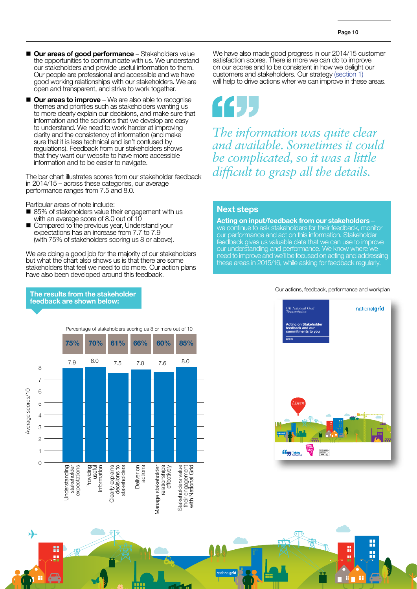- **n** Our areas of good performance Stakeholders value the opportunities to communicate with us. We understand our stakeholders and provide useful information to them. Our people are professional and accessible and we have good working relationships with our stakeholders. We are open and transparent, and strive to work together.
- **Our areas to improve** We are also able to recognise themes and priorities such as stakeholders wanting us to more clearly explain our decisions, and make sure that information and the solutions that we develop are easy to understand. We need to work harder at improving clarity and the consistency of information (and make sure that it is less technical and isn't confused by regulations). Feedback from our stakeholders shows that they want our website to have more accessible information and to be easier to navigate.

The bar chart illustrates scores from our stakeholder feedback in 2014/15 – across these categories, our average performance ranges from 7.5 and 8.0.

Particular areas of note include:

- 85% of stakeholders value their engagement with us with an average score of 8.0 out of 10
- Compared to the previous year, Understand your expectations has an increase from 7.7 to 7.9 (with 75% of stakeholders scoring us 8 or above).

The results from the stakeholder feedback are shown below:

↛

We are doing a good job for the majority of our stakeholders but what the chart also shows us is that there are some stakeholders that feel we need to do more. Our action plans have also been developed around this feedback.

We have also made good progress in our 2014/15 customer satisfaction scores. There is more we can do to improve on our scores and to be consistent in how we delight our customers and stakeholders. Our strategy (section 1) will help to drive actions wher we can improve in these areas.



*The information was quite clear and available. Sometimes it could be complicated, so it was a little difficult to grasp all the details.*

#### Next steps

Acting on input/feedback from our stakeholders – we continue to ask stakeholders for their feedback, monitor our performance and act on this information. Stakeholder feedback gives us valuable data that we can use to improve our understanding and performance. We know where we need to improve and we'll be focused on acting and addressing these areas in 2015/16, while asking for feedback regularly.

#### Our actions, feedback, performance and workplan

Percentage of stakeholders scoring us 8 or more out of 10 **75% 70% 61% 66% 60% 85%** 7.9 8.0 7.5 7.8 7.6 8.0 8 7 Average scores/10 Average scores/10 6 5 4 3  $\overline{2}$ 1 0 Stakeholders value<br>their engagement<br>with National Grid Understanding<br>stakeholder<br>expectations decisions to<br>stakeholders stakeholder expectations Providing<br>useful Clearly explains decisions to Deliver on<br>actions Deliver on Manage stakeholder relationships<br>effectively relationships Stakeholders value their engagement Clearly explains Understanding information stakeholders with National Grid **Manage stakeholder**